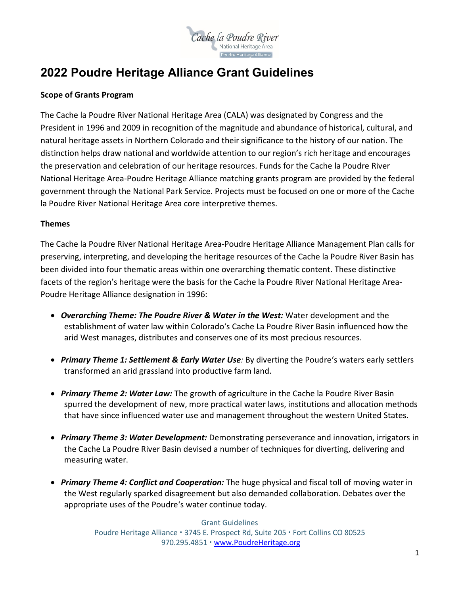

# **2022 Poudre Heritage Alliance Grant Guidelines**

#### **Scope of Grants Program**

The Cache la Poudre River National Heritage Area (CALA) was designated by Congress and the President in 1996 and 2009 in recognition of the magnitude and abundance of historical, cultural, and natural heritage assets in Northern Colorado and their significance to the history of our nation. The distinction helps draw national and worldwide attention to our region's rich heritage and encourages the preservation and celebration of our heritage resources. Funds for the Cache la Poudre River National Heritage Area-Poudre Heritage Alliance matching grants program are provided by the federal government through the National Park Service. Projects must be focused on one or more of the Cache la Poudre River National Heritage Area core interpretive themes.

#### **Themes**

The Cache la Poudre River National Heritage Area-Poudre Heritage Alliance Management Plan calls for preserving, interpreting, and developing the heritage resources of the Cache la Poudre River Basin has been divided into four thematic areas within one overarching thematic content. These distinctive facets of the region's heritage were the basis for the Cache la Poudre River National Heritage Area-Poudre Heritage Alliance designation in 1996:

- *Overarching Theme: The Poudre River & Water in the West:* Water development and the establishment of water law within Colorado's Cache La Poudre River Basin influenced how the arid West manages, distributes and conserves one of its most precious resources.
- *Primary Theme 1: Settlement & Early Water Use:* By diverting the Poudre's waters early settlers transformed an arid grassland into productive farm land.
- *Primary Theme 2: Water Law:* The growth of agriculture in the Cache la Poudre River Basin spurred the development of new, more practical water laws, institutions and allocation methods that have since influenced water use and management throughout the western United States.
- *Primary Theme 3: Water Development:* Demonstrating perseverance and innovation, irrigators in the Cache La Poudre River Basin devised a number of techniques for diverting, delivering and measuring water.
- *Primary Theme 4: Conflict and Cooperation:* The huge physical and fiscal toll of moving water in the West regularly sparked disagreement but also demanded collaboration. Debates over the appropriate uses of the Poudre's water continue today.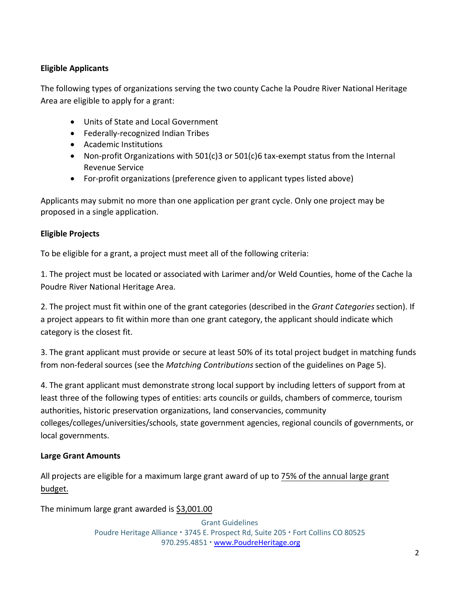# **Eligible Applicants**

The following types of organizations serving the two county Cache la Poudre River National Heritage Area are eligible to apply for a grant:

- Units of State and Local Government
- Federally-recognized Indian Tribes
- Academic Institutions
- Non-profit Organizations with 501(c)3 or 501(c)6 tax-exempt status from the Internal Revenue Service
- For-profit organizations (preference given to applicant types listed above)

Applicants may submit no more than one application per grant cycle. Only one project may be proposed in a single application.

#### **Eligible Projects**

To be eligible for a grant, a project must meet all of the following criteria:

1. The project must be located or associated with Larimer and/or Weld Counties, home of the Cache la Poudre River National Heritage Area.

2. The project must fit within one of the grant categories (described in the *Grant Categories* section). If a project appears to fit within more than one grant category, the applicant should indicate which category is the closest fit.

3. The grant applicant must provide or secure at least 50% of its total project budget in matching funds from non-federal sources (see the *Matching Contributions* section of the guidelines on Page 5).

4. The grant applicant must demonstrate strong local support by including letters of support from at least three of the following types of entities: arts councils or guilds, chambers of commerce, tourism authorities, historic preservation organizations, land conservancies, community colleges/colleges/universities/schools, state government agencies, regional councils of governments, or local governments.

#### **Large Grant Amounts**

All projects are eligible for a maximum large grant award of up to 75% of the annual large grant budget.

The minimum large grant awarded is \$3,001.00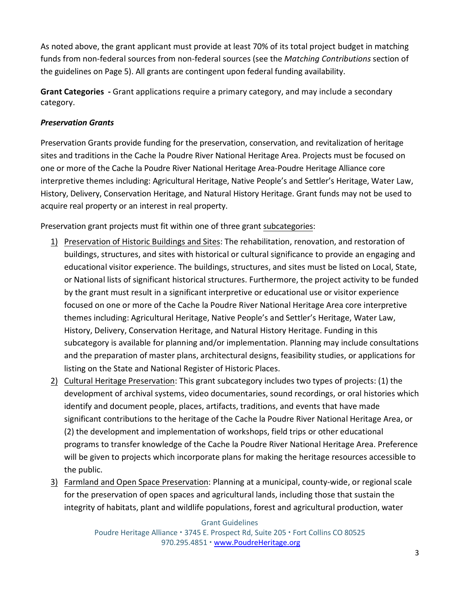As noted above, the grant applicant must provide at least 70% of its total project budget in matching funds from non-federal sources from non-federal sources (see the *Matching Contributions* section of the guidelines on Page 5). All grants are contingent upon federal funding availability.

**Grant Categories -** Grant applications require a primary category, and may include a secondary category.

# *Preservation Grants*

Preservation Grants provide funding for the preservation, conservation, and revitalization of heritage sites and traditions in the Cache la Poudre River National Heritage Area. Projects must be focused on one or more of the Cache la Poudre River National Heritage Area-Poudre Heritage Alliance core interpretive themes including: Agricultural Heritage, Native People's and Settler's Heritage, Water Law, History, Delivery, Conservation Heritage, and Natural History Heritage. Grant funds may not be used to acquire real property or an interest in real property.

Preservation grant projects must fit within one of three grant subcategories:

- 1) Preservation of Historic Buildings and Sites: The rehabilitation, renovation, and restoration of buildings, structures, and sites with historical or cultural significance to provide an engaging and educational visitor experience. The buildings, structures, and sites must be listed on Local, State, or National lists of significant historical structures. Furthermore, the project activity to be funded by the grant must result in a significant interpretive or educational use or visitor experience focused on one or more of the Cache la Poudre River National Heritage Area core interpretive themes including: Agricultural Heritage, Native People's and Settler's Heritage, Water Law, History, Delivery, Conservation Heritage, and Natural History Heritage. Funding in this subcategory is available for planning and/or implementation. Planning may include consultations and the preparation of master plans, architectural designs, feasibility studies, or applications for listing on the State and National Register of Historic Places.
- 2) Cultural Heritage Preservation: This grant subcategory includes two types of projects: (1) the development of archival systems, video documentaries, sound recordings, or oral histories which identify and document people, places, artifacts, traditions, and events that have made significant contributions to the heritage of the Cache la Poudre River National Heritage Area, or (2) the development and implementation of workshops, field trips or other educational programs to transfer knowledge of the Cache la Poudre River National Heritage Area. Preference will be given to projects which incorporate plans for making the heritage resources accessible to the public.
- 3) Farmland and Open Space Preservation: Planning at a municipal, county-wide, or regional scale for the preservation of open spaces and agricultural lands, including those that sustain the integrity of habitats, plant and wildlife populations, forest and agricultural production, water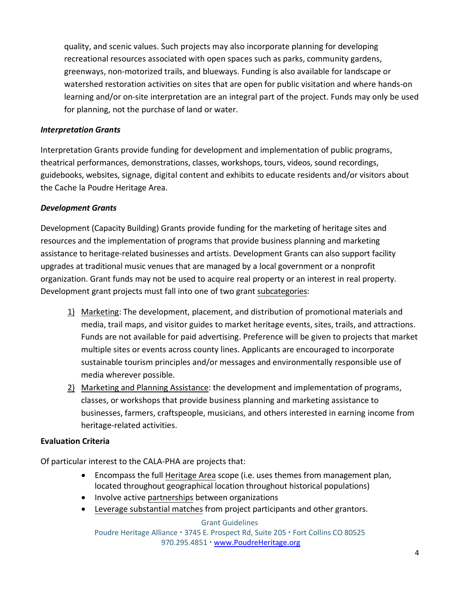quality, and scenic values. Such projects may also incorporate planning for developing recreational resources associated with open spaces such as parks, community gardens, greenways, non-motorized trails, and blueways. Funding is also available for landscape or watershed restoration activities on sites that are open for public visitation and where hands-on learning and/or on-site interpretation are an integral part of the project. Funds may only be used for planning, not the purchase of land or water.

#### *Interpretation Grants*

Interpretation Grants provide funding for development and implementation of public programs, theatrical performances, demonstrations, classes, workshops, tours, videos, sound recordings, guidebooks, websites, signage, digital content and exhibits to educate residents and/or visitors about the Cache la Poudre Heritage Area.

#### *Development Grants*

Development (Capacity Building) Grants provide funding for the marketing of heritage sites and resources and the implementation of programs that provide business planning and marketing assistance to heritage-related businesses and artists. Development Grants can also support facility upgrades at traditional music venues that are managed by a local government or a nonprofit organization. Grant funds may not be used to acquire real property or an interest in real property. Development grant projects must fall into one of two grant subcategories:

- 1) Marketing: The development, placement, and distribution of promotional materials and media, trail maps, and visitor guides to market heritage events, sites, trails, and attractions. Funds are not available for paid advertising. Preference will be given to projects that market multiple sites or events across county lines. Applicants are encouraged to incorporate sustainable tourism principles and/or messages and environmentally responsible use of media wherever possible.
- 2) Marketing and Planning Assistance: the development and implementation of programs, classes, or workshops that provide business planning and marketing assistance to businesses, farmers, craftspeople, musicians, and others interested in earning income from heritage-related activities.

#### **Evaluation Criteria**

Of particular interest to the CALA-PHA are projects that:

- Encompass the full Heritage Area scope (i.e. uses themes from management plan, located throughout geographical location throughout historical populations)
- Involve active partnerships between organizations
- Leverage substantial matches from project participants and other grantors.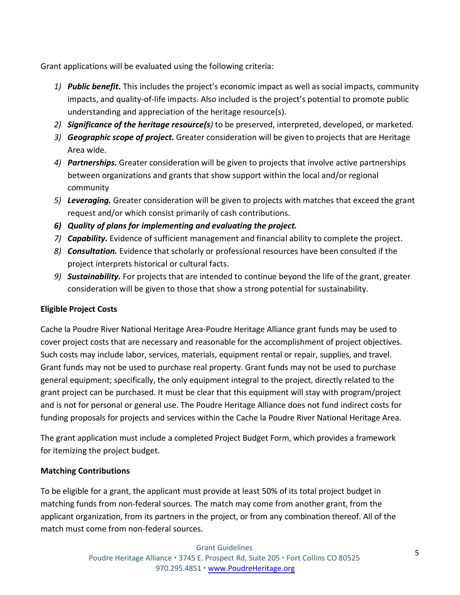Grant applications will be evaluated using the following criteria:

- *1) Public benefit***.** This includes the project's economic impact as well as social impacts, community impacts, and quality-of-life impacts. Also included is the project's potential to promote public understanding and appreciation of the heritage resource(s).
- *2) Significance of the heritage resource(s)* to be preserved, interpreted, developed, or marketed.
- *3) Geographic scope of project.* Greater consideration will be given to projects that are Heritage Area wide.
- *4) Partnerships.* Greater consideration will be given to projects that involve active partnerships between organizations and grants that show support within the local and/or regional community
- *5) Leveraging.* Greater consideration will be given to projects with matches that exceed the grant request and/or which consist primarily of cash contributions.
- *6) Quality of plans for implementing and evaluating the project.*
- *7) Capability.* Evidence of sufficient management and financial ability to complete the project.
- *8) Consultation.* Evidence that scholarly or professional resources have been consulted if the project interprets historical or cultural facts.
- *9) Sustainability.* For projects that are intended to continue beyond the life of the grant, greater consideration will be given to those that show a strong potential for sustainability.

# **Eligible Project Costs**

Cache la Poudre River National Heritage Area-Poudre Heritage Alliance grant funds may be used to cover project costs that are necessary and reasonable for the accomplishment of project objectives. Such costs may include labor, services, materials, equipment rental or repair, supplies, and travel. Grant funds may not be used to purchase real property. Grant funds may not be used to purchase general equipment; specifically, the only equipment integral to the project, directly related to the grant project can be purchased. It must be clear that this equipment will stay with program/project and is not for personal or general use. The Poudre Heritage Alliance does not fund indirect costs for funding proposals for projects and services within the Cache la Poudre River National Heritage Area.

The grant application must include a completed Project Budget Form, which provides a framework for itemizing the project budget.

# **Matching Contributions**

To be eligible for a grant, the applicant must provide at least 50% of its total project budget in matching funds from non-federal sources. The match may come from another grant, from the applicant organization, from its partners in the project, or from any combination thereof. All of the match must come from non-federal sources.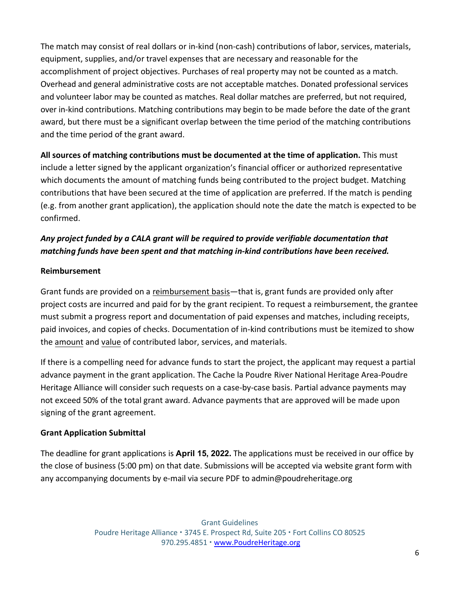The match may consist of real dollars or in-kind (non-cash) contributions of labor, services, materials, equipment, supplies, and/or travel expenses that are necessary and reasonable for the accomplishment of project objectives. Purchases of real property may not be counted as a match. Overhead and general administrative costs are not acceptable matches. Donated professional services and volunteer labor may be counted as matches. Real dollar matches are preferred, but not required, over in-kind contributions. Matching contributions may begin to be made before the date of the grant award, but there must be a significant overlap between the time period of the matching contributions and the time period of the grant award.

**All sources of matching contributions must be documented at the time of application.** This must include a letter signed by the applicant organization's financial officer or authorized representative which documents the amount of matching funds being contributed to the project budget. Matching contributions that have been secured at the time of application are preferred. If the match is pending (e.g. from another grant application), the application should note the date the match is expected to be confirmed.

# *Any project funded by a CALA grant will be required to provide verifiable documentation that matching funds have been spent and that matching in-kind contributions have been received.*

# **Reimbursement**

Grant funds are provided on a reimbursement basis—that is, grant funds are provided only after project costs are incurred and paid for by the grant recipient. To request a reimbursement, the grantee must submit a progress report and documentation of paid expenses and matches, including receipts, paid invoices, and copies of checks. Documentation of in-kind contributions must be itemized to show the amount and value of contributed labor, services, and materials.

If there is a compelling need for advance funds to start the project, the applicant may request a partial advance payment in the grant application. The Cache la Poudre River National Heritage Area-Poudre Heritage Alliance will consider such requests on a case-by-case basis. Partial advance payments may not exceed 50% of the total grant award. Advance payments that are approved will be made upon signing of the grant agreement.

#### **Grant Application Submittal**

The deadline for grant applications is **April 15, 2022.** The applications must be received in our office by the close of business (5:00 pm) on that date. Submissions will be accepted via website grant form with any accompanying documents by e-mail via secure PDF to admin@poudreheritage.org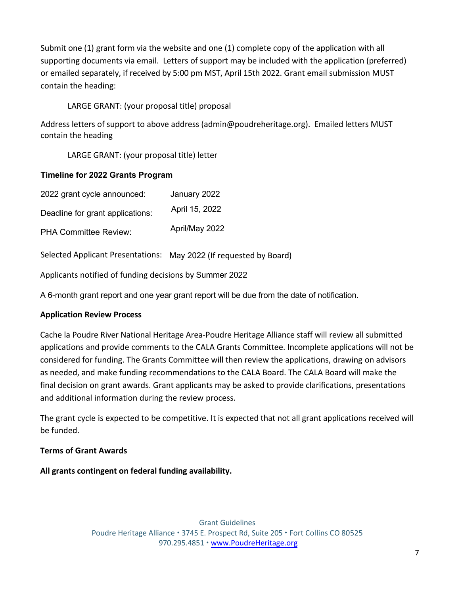Submit one (1) grant form via the website and one (1) complete copy of the application with all supporting documents via email. Letters of support may be included with the application (preferred) or emailed separately, if received by 5:00 pm MST, April 15th 2022. Grant email submission MUST contain the heading:

# LARGE GRANT: (your proposal title) proposal

Address letters of support to above address (admin@poudreheritage.org). Emailed letters MUST contain the heading

LARGE GRANT: (your proposal title) letter

# **Timeline for 2022 Grants Program**

| 2022 grant cycle announced:      | January 2022   |
|----------------------------------|----------------|
| Deadline for grant applications: | April 15, 2022 |
| <b>PHA Committee Review:</b>     | April/May 2022 |

Selected Applicant Presentations: May 2022 (If requested by Board)

Applicants notified of funding decisions by Summer 2022

A 6-month grant report and one year grant report will be due from the date of notification.

#### **Application Review Process**

Cache la Poudre River National Heritage Area-Poudre Heritage Alliance staff will review all submitted applications and provide comments to the CALA Grants Committee. Incomplete applications will not be considered for funding. The Grants Committee will then review the applications, drawing on advisors as needed, and make funding recommendations to the CALA Board. The CALA Board will make the final decision on grant awards. Grant applicants may be asked to provide clarifications, presentations and additional information during the review process.

The grant cycle is expected to be competitive. It is expected that not all grant applications received will be funded.

#### **Terms of Grant Awards**

**All grants contingent on federal funding availability.**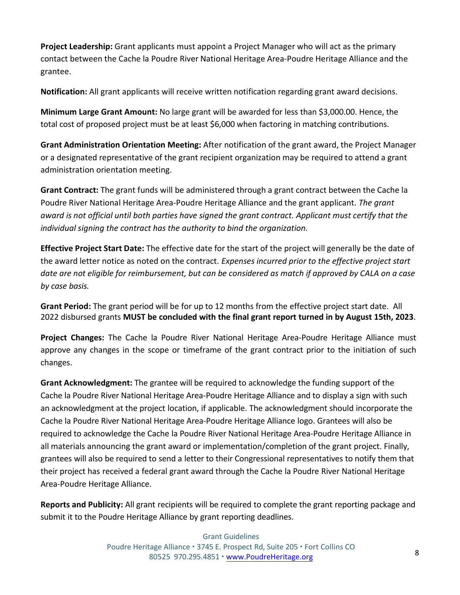**Project Leadership:** Grant applicants must appoint a Project Manager who will act as the primary contact between the Cache la Poudre River National Heritage Area-Poudre Heritage Alliance and the grantee.

**Notification:** All grant applicants will receive written notification regarding grant award decisions.

**Minimum Large Grant Amount:** No large grant will be awarded for less than \$3,000.00. Hence, the total cost of proposed project must be at least \$6,000 when factoring in matching contributions.

**Grant Administration Orientation Meeting:** After notification of the grant award, the Project Manager or a designated representative of the grant recipient organization may be required to attend a grant administration orientation meeting.

**Grant Contract:** The grant funds will be administered through a grant contract between the Cache la Poudre River National Heritage Area-Poudre Heritage Alliance and the grant applicant. *The grant award is not official until both parties have signed the grant contract. Applicant must certify that the individual signing the contract has the authority to bind the organization.*

**Effective Project Start Date:** The effective date for the start of the project will generally be the date of the award letter notice as noted on the contract. *Expenses incurred prior to the effective project start* date are not eligible for reimbursement, but can be considered as match if approved by CALA on a case *by case basis.*

**Grant Period:** The grant period will be for up to 12 months from the effective project start date. All 2022 disbursed grants **MUST be concluded with the final grant report turned in by August 15th, 2023**.

**Project Changes:** The Cache la Poudre River National Heritage Area-Poudre Heritage Alliance must approve any changes in the scope or timeframe of the grant contract prior to the initiation of such changes.

**Grant Acknowledgment:** The grantee will be required to acknowledge the funding support of the Cache la Poudre River National Heritage Area-Poudre Heritage Alliance and to display a sign with such an acknowledgment at the project location, if applicable. The acknowledgment should incorporate the Cache la Poudre River National Heritage Area-Poudre Heritage Alliance logo. Grantees will also be required to acknowledge the Cache la Poudre River National Heritage Area-Poudre Heritage Alliance in all materials announcing the grant award or implementation/completion of the grant project. Finally, grantees will also be required to send a letter to their Congressional representatives to notify them that their project has received a federal grant award through the Cache la Poudre River National Heritage Area-Poudre Heritage Alliance.

**Reports and Publicity:** All grant recipients will be required to complete the grant reporting package and submit it to the Poudre Heritage Alliance by grant reporting deadlines.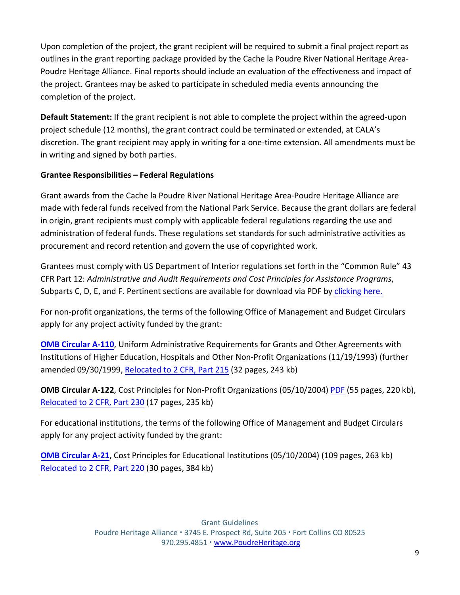Upon completion of the project, the grant recipient will be required to submit a final project report as outlines in the grant reporting package provided by the Cache la Poudre River National Heritage Area-Poudre Heritage Alliance. Final reports should include an evaluation of the effectiveness and impact of the project. Grantees may be asked to participate in scheduled media events announcing the completion of the project.

**Default Statement:** If the grant recipient is not able to complete the project within the agreed-upon project schedule (12 months), the grant contract could be terminated or extended, at CALA's discretion. The grant recipient may apply in writing for a one-time extension. All amendments must be in writing and signed by both parties.

# **Grantee Responsibilities – Federal Regulations**

Grant awards from the Cache la Poudre River National Heritage Area-Poudre Heritage Alliance are made with federal funds received from the National Park Service. Because the grant dollars are federal in origin, grant recipients must comply with applicable federal regulations regarding the use and administration of federal funds. These regulations set standards for such administrative activities as procurement and record retention and govern the use of copyrighted work.

Grantees must comply with US Department of Interior regulations set forth in the "Common Rule" 43 CFR Part 12: *Administrative and Audit Requirements and Cost Principles for Assistance Programs*, Subparts C, D, E, and F. Pertinent sections are available for download via PDF by [clicking here.](https://www.gpo.gov/fdsys/pkg/CFR-2002-title43-vol1/pdf/CFR-2002-title43-vol1-part12.pdf)

For non-profit organizations, the terms of the following Office of Management and Budget Circulars apply for any project activity funded by the grant:

**[OMB Circular A-110](https://www.whitehouse.gov/wp-content/uploads/2017/11/Circular-110.pdf)**, Uniform Administrative Requirements for Grants and Other Agreements with Institutions of Higher Education, Hospitals and Other Non-Profit Organizations (11/19/1993) (further amended 09/30/1999, [Relocated to 2 CFR, Part 215](https://www.whitehouse.gov/sites/whitehouse.gov/files/omb/circulars/A110/2cfr215-0.pdf) (32 pages, 243 kb)

**OMB Circular A-122**, Cost Principles for Non-Profit Organizations (05/10/2004) [PDF](https://www.whitehouse.gov/sites/whitehouse.gov/files/omb/circulars/A122/a122_2004.pdf) (55 pages, 220 kb), Relocated to [2 CFR, Part 230](https://www.whitehouse.gov/sites/whitehouse.gov/files/omb/federal_register/FR2005/083105_a122.pdf) (17 pages, 235 kb)

For educational institutions, the terms of the following Office of Management and Budget Circulars apply for any project activity funded by the grant:

**[OMB Circular A-21](https://www.whitehouse.gov/sites/whitehouse.gov/files/omb/circulars/A21/a21_2004.pdf)**, Cost Principles for Educational Institutions (05/10/2004) (109 pages, 263 kb) Relocated to [2 CFR, Part 220](https://www.whitehouse.gov/sites/whitehouse.gov/files/omb/federal_register/FR2005/083105_a21.pdf) (30 pages, 384 kb)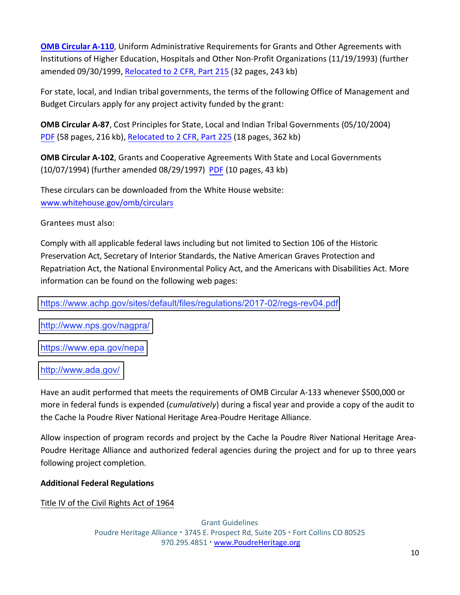**OMB [Circular](https://www.whitehouse.gov/wp-content/uploads/2017/11/Circular-110.pdf) A-110**, Uniform Administrative Requirements for Grants and Other Agreements with Institutions of Higher Education, Hospitals and Other Non-Profit Organizations (11/19/1993) (further amended 09/30/1999, [Relocated](https://www.whitehouse.gov/sites/whitehouse.gov/files/omb/circulars/A110/2cfr215-0.pdf) to 2 CFR, Part 215 (32 pages, 243 kb)

For state, local, and Indian tribal governments, the terms of the following Office of Management and Budget Circulars apply for any project activity funded by the grant:

**OMB Circular A-87**, Cost Principles for State, Local and Indian Tribal Governments (05/10/2004) [PDF](https://www.whitehouse.gov/sites/whitehouse.gov/files/omb/circulars/A87/a87_2004.pdf) (58 pages, 216 kb), [Relocated](https://www.whitehouse.gov/sites/whitehouse.gov/files/omb/federal_register/FR2005/083105_a87.pdf) to 2 CFR, Part 225 (18 pages, 362 kb)

**OMB Circular A-102**, Grants and Cooperative Agreements With State and Local Governments (10/07/1994) (further amended 08/29/1997) [PDF](https://www.whitehouse.gov/sites/whitehouse.gov/files/omb/circulars/A102/a102.pdf) (10 pages, 43 kb)

These circulars can be downloaded from the White House website: [www.whitehouse.gov/omb/circulars](http://www.whitehouse.gov/omb/circulars) 

Grantees must also:

Comply with all applicable federal laws including but not limited to Section 106 of the Historic Preservation Act, Secretary of Interior Standards, the Native American Graves Protection and Repatriation Act, the National Environmental Policy Act, and the Americans with Disabilities Act. More information can be found on the following web pages:

<https://www.achp.gov/sites/default/files/regulations/2017-02/regs-rev04.pdf>

[http://www.nps.gov/nagpra/](https://www.nps.gov/subjects/nagpra/index.htm) 

<https://www.epa.gov/nepa>

#### [http://www.ada.gov/](https://www.ada.gov/)

Have an audit performed that meets the requirements of OMB Circular A-133 whenever \$500,000 or more in federal funds is expended (*cumulatively*) during a fiscal year and provide a copy of the audit to the Cache la Poudre River National Heritage Area-Poudre Heritage Alliance.

Allow inspection of program records and project by the Cache la Poudre River National Heritage Area-Poudre Heritage Alliance and authorized federal agencies during the project and for up to three years following project completion.

**Additional Federal Regulations**

Title IV of the Civil Rights Act of 1964